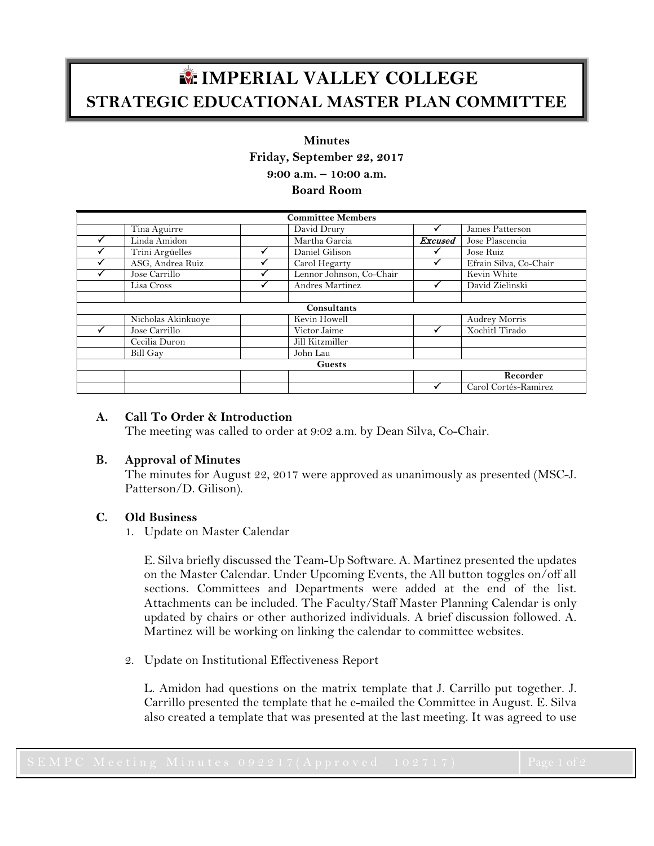# **IMPERIAL VALLEY COLLEGE STRATEGIC EDUCATIONAL MASTER PLAN COMMITTEE**

# **Minutes Friday, September 22, 2017 9:00 a.m. – 10:00 a.m.**

**Board Room**

| <b>Committee Members</b> |                    |  |                          |                |                        |
|--------------------------|--------------------|--|--------------------------|----------------|------------------------|
|                          | Tina Aguirre       |  | David Drury              |                | James Patterson        |
|                          | Linda Amidon       |  | Martha Garcia            | <b>Excused</b> | Jose Plascencia        |
|                          | Trini Argüelles    |  | Daniel Gilison           |                | Jose Ruiz              |
|                          | ASG, Andrea Ruiz   |  | Carol Hegarty            |                | Efrain Silva, Co-Chair |
|                          | Jose Carrillo      |  | Lennor Johnson, Co-Chair |                | Kevin White            |
|                          | Lisa Cross         |  | Andres Martinez          | √              | David Zielinski        |
|                          |                    |  |                          |                |                        |
| Consultants              |                    |  |                          |                |                        |
|                          | Nicholas Akinkuoye |  | Kevin Howell             |                | <b>Audrey Morris</b>   |
|                          | Jose Carrillo      |  | Victor Jaime             |                | Xochitl Tirado         |
|                          | Cecilia Duron      |  | Jill Kitzmiller          |                |                        |
|                          | <b>Bill Gay</b>    |  | John Lau                 |                |                        |
| <b>Guests</b>            |                    |  |                          |                |                        |
|                          |                    |  |                          |                | Recorder               |
|                          |                    |  |                          | ✔              | Carol Cortés-Ramirez   |

### **A. Call To Order & Introduction**

The meeting was called to order at 9:02 a.m. by Dean Silva, Co-Chair.

#### **B. Approval of Minutes**

The minutes for August 22, 2017 were approved as unanimously as presented (MSC-J. Patterson/D. Gilison).

# **C. Old Business**

1. Update on Master Calendar

E. Silva briefly discussed the Team-Up Software. A. Martinez presented the updates on the Master Calendar. Under Upcoming Events, the All button toggles on/off all sections. Committees and Departments were added at the end of the list. Attachments can be included. The Faculty/Staff Master Planning Calendar is only updated by chairs or other authorized individuals. A brief discussion followed. A. Martinez will be working on linking the calendar to committee websites.

2. Update on Institutional Effectiveness Report

L. Amidon had questions on the matrix template that J. Carrillo put together. J. Carrillo presented the template that he e-mailed the Committee in August. E. Silva also created a template that was presented at the last meeting. It was agreed to use